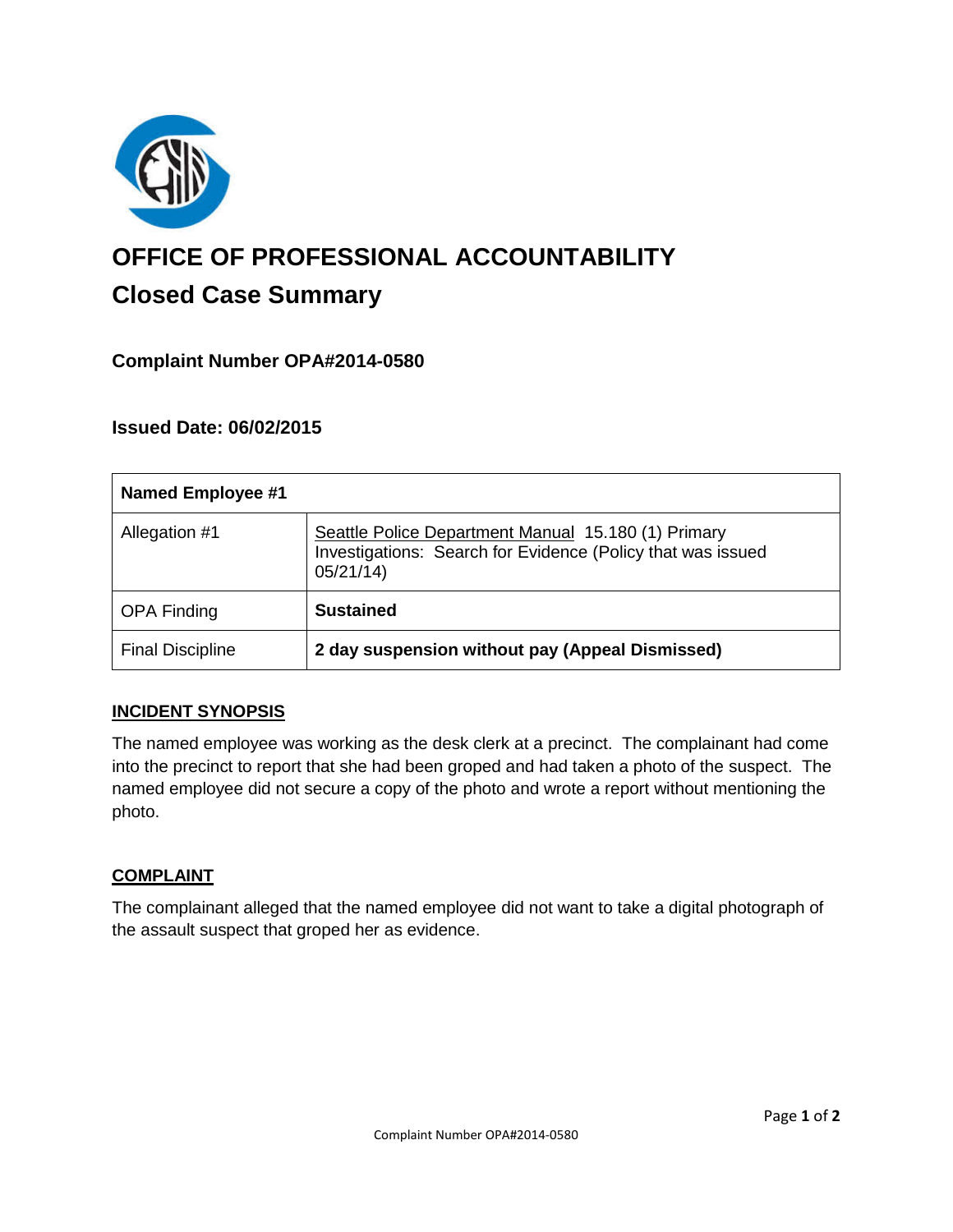

# **OFFICE OF PROFESSIONAL ACCOUNTABILITY Closed Case Summary**

## **Complaint Number OPA#2014-0580**

## **Issued Date: 06/02/2015**

| <b>Named Employee #1</b> |                                                                                                                                |
|--------------------------|--------------------------------------------------------------------------------------------------------------------------------|
| Allegation #1            | Seattle Police Department Manual 15.180 (1) Primary<br>Investigations: Search for Evidence (Policy that was issued<br>05/21/14 |
| <b>OPA Finding</b>       | <b>Sustained</b>                                                                                                               |
| <b>Final Discipline</b>  | 2 day suspension without pay (Appeal Dismissed)                                                                                |

## **INCIDENT SYNOPSIS**

The named employee was working as the desk clerk at a precinct. The complainant had come into the precinct to report that she had been groped and had taken a photo of the suspect. The named employee did not secure a copy of the photo and wrote a report without mentioning the photo.

#### **COMPLAINT**

The complainant alleged that the named employee did not want to take a digital photograph of the assault suspect that groped her as evidence.